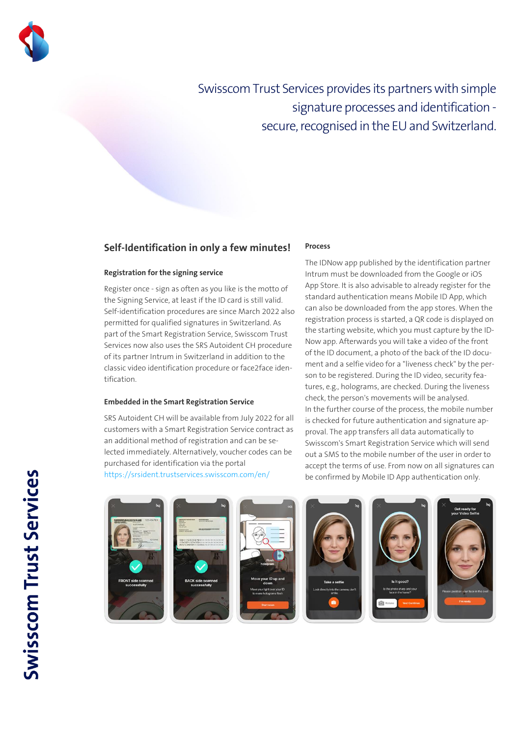

Swisscom Trust Services provides its partners with simple signature processes and identification secure, recognised in the EU and Switzerland.

## **Self-Identification in only a few minutes!**

### **Registration for the signing service**

Register once - sign as often as you like is the motto of the Signing Service, at least if the ID card is still valid. Self-identification procedures are since March 2022 also permitted for qualified signatures in Switzerland. As part of the Smart Registration Service, Swisscom Trust Services now also uses the SRS Autoident CH procedure of its partner Intrum in Switzerland in addition to the classic video identification procedure or face2face identification.

#### **Embedded in the Smart Registration Service**

SRS Autoident CH will be available from July 2022 for all customers with a Smart Registration Service contract as an additional method of registration and can be selected immediately. Alternatively, voucher codes can be purchased for identification via the portal <https://srsident.trustservices.swisscom.com/en/>

#### **Process**

The IDNow app published by the identification partner Intrum must be downloaded from the Google or iOS App Store. It is also advisable to already register for the standard authentication means Mobile ID App, which can also be downloaded from the app stores. When the registration process is started, a QR code is displayed on the starting website, which you must capture by the ID-Now app. Afterwards you will take a video of the front of the ID document, a photo of the back of the ID document and a selfie video for a "liveness check" by the person to be registered. During the ID video, security features, e.g., holograms, are checked. During the liveness check, the person's movements will be analysed. In the further course of the process, the mobile number is checked for future authentication and signature approval. The app transfers all data automatically to Swisscom's Smart Registration Service which will send out a SMS to the mobile number of the user in order to accept the terms of use. From now on all signatures can be confirmed by Mobile ID App authentication only.